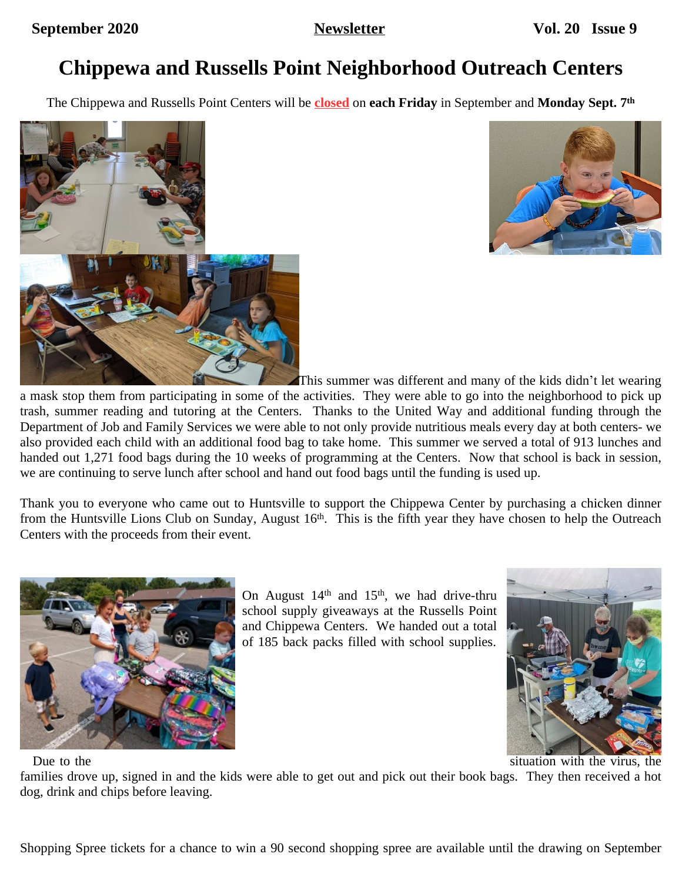# **Chippewa and Russells Point Neighborhood Outreach Centers**

The Chippewa and Russells Point Centers will be **closed** on **each Friday** in September and **Monday Sept. 7th**





This summer was different and many of the kids didn't let wearing

a mask stop them from participating in some of the activities. They were able to go into the neighborhood to pick up trash, summer reading and tutoring at the Centers. Thanks to the United Way and additional funding through the Department of Job and Family Services we were able to not only provide nutritious meals every day at both centers- we also provided each child with an additional food bag to take home. This summer we served a total of 913 lunches and handed out 1,271 food bags during the 10 weeks of programming at the Centers. Now that school is back in session, we are continuing to serve lunch after school and hand out food bags until the funding is used up.

Thank you to everyone who came out to Huntsville to support the Chippewa Center by purchasing a chicken dinner from the Huntsville Lions Club on Sunday, August 16<sup>th</sup>. This is the fifth year they have chosen to help the Outreach Centers with the proceeds from their event.



On August  $14<sup>th</sup>$  and  $15<sup>th</sup>$ , we had drive-thru school supply giveaways at the Russells Point and Chippewa Centers. We handed out a total of 185 back packs filled with school supplies.



Due to the situation with the virus, the

families drove up, signed in and the kids were able to get out and pick out their book bags. They then received a hot dog, drink and chips before leaving.

Shopping Spree tickets for a chance to win a 90 second shopping spree are available until the drawing on September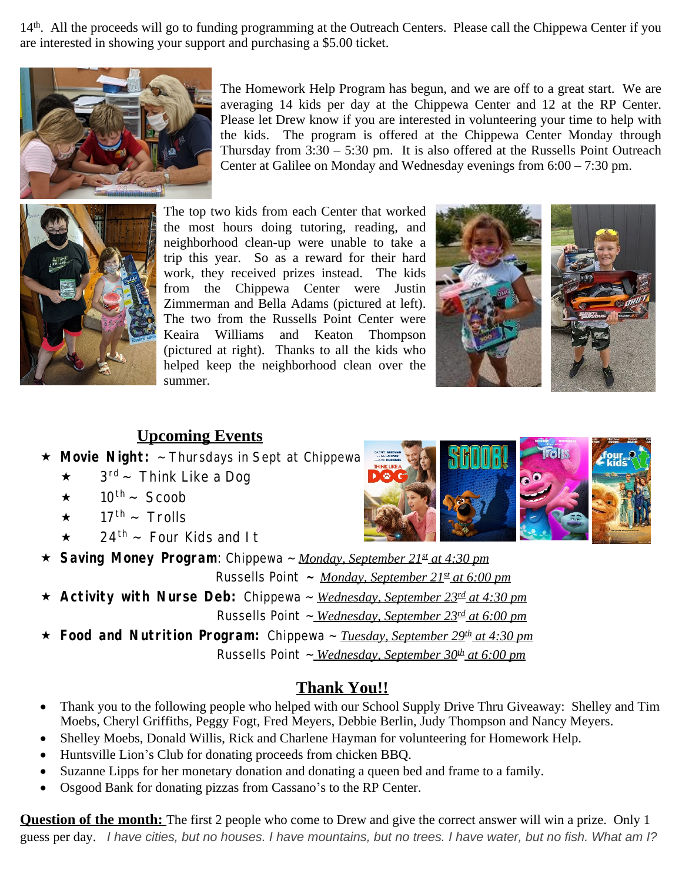14<sup>th</sup>. All the proceeds will go to funding programming at the Outreach Centers. Please call the Chippewa Center if you are interested in showing your support and purchasing a \$5.00 ticket.



The Homework Help Program has begun, and we are off to a great start. We are averaging 14 kids per day at the Chippewa Center and 12 at the RP Center. Please let Drew know if you are interested in volunteering your time to help with the kids. The program is offered at the Chippewa Center Monday through Thursday from  $3:30 - 5:30$  pm. It is also offered at the Russells Point Outreach Center at Galilee on Monday and Wednesday evenings from 6:00 – 7:30 pm.



The top two kids from each Center that worked the most hours doing tutoring, reading, and neighborhood clean-up were unable to take a trip this year. So as a reward for their hard work, they received prizes instead. The kids from the Chippewa Center were Justin Zimmerman and Bella Adams (pictured at left). The two from the Russells Point Center were Keaira Williams and Keaton Thompson (pictured at right). Thanks to all the kids who helped keep the neighborhood clean over the summer.



## **Upcoming Events**

- **Movie Night:** ~ Thursdays in Sept at Chippewa
	- $\star$  3<sup>rd</sup> ~ Think Like a Dog
	- $\star$  10<sup>th</sup> ~ Scoob
	- $\star$  17<sup>th</sup> ~ Trolls
	- $\star$  24<sup>th</sup> ~ Four Kids and It
- **Saving Money Program**: Chippewa ~ *Monday, September 21st at 4:30 pm*

Russells Point **~** *Monday, September 21st at 6:00 pm*

 **Activity with Nurse Deb:** Chippewa ~ *Wednesday, September 23rd at 4:30 pm* Russells Point ~ *Wednesday, September 23rd at 6:00 pm*

**★ Food and Nutrition Program:** Chippewa ~ *Tuesday, September 29<sup>th</sup> at 4:30 pm* Russells Point ~ *Wednesday, September 30th at 6:00 pm*

#### **Thank You!!**

- Thank you to the following people who helped with our School Supply Drive Thru Giveaway: Shelley and Tim Moebs, Cheryl Griffiths, Peggy Fogt, Fred Meyers, Debbie Berlin, Judy Thompson and Nancy Meyers.
- Shelley Moebs, Donald Willis, Rick and Charlene Hayman for volunteering for Homework Help.
- Huntsville Lion's Club for donating proceeds from chicken BBQ.
- Suzanne Lipps for her monetary donation and donating a queen bed and frame to a family.
- Osgood Bank for donating pizzas from Cassano's to the RP Center.

**Question of the month:** The first 2 people who come to Drew and give the correct answer will win a prize. Only 1 guess per day. *I have cities, but no houses. I have mountains, but no trees. I have water, but no fish. What am I?*